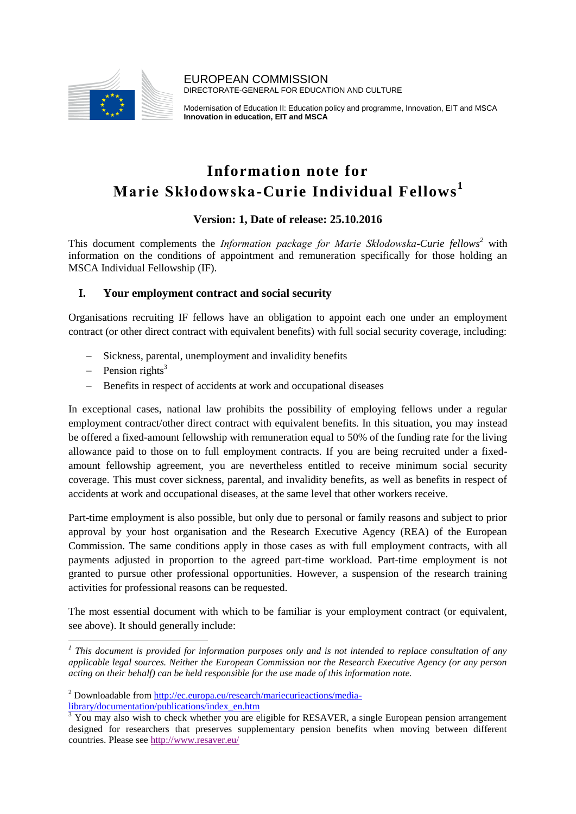

EUROPEAN COMMISSION DIRECTORATE-GENERAL FOR EDUCATION AND CULTURE

Modernisation of Education II: Education policy and programme, Innovation, EIT and MSCA **Innovation in education, EIT and MSCA**

# **Information note for Marie Skłodowska-Curie Individual Fellows<sup>1</sup>**

## **Version: 1, Date of release: 25.10.2016**

This document complements the *Information package for Marie Skłodowska-Curie fellows<sup>2</sup>* with information on the conditions of appointment and remuneration specifically for those holding an MSCA Individual Fellowship (IF).

### **I. Your employment contract and social security**

Organisations recruiting IF fellows have an obligation to appoint each one under an employment contract (or other direct contract with equivalent benefits) with full social security coverage, including:

- Sickness, parental, unemployment and invalidity benefits
- $-$  Pension rights<sup>3</sup>

1

- Benefits in respect of accidents at work and occupational diseases

In exceptional cases, national law prohibits the possibility of employing fellows under a regular employment contract/other direct contract with equivalent benefits. In this situation, you may instead be offered a fixed-amount fellowship with remuneration equal to 50% of the funding rate for the living allowance paid to those on to full employment contracts. If you are being recruited under a fixedamount fellowship agreement, you are nevertheless entitled to receive minimum social security coverage. This must cover sickness, parental, and invalidity benefits, as well as benefits in respect of accidents at work and occupational diseases, at the same level that other workers receive.

Part-time employment is also possible, but only due to personal or family reasons and subject to prior approval by your host organisation and the Research Executive Agency (REA) of the European Commission. The same conditions apply in those cases as with full employment contracts, with all payments adjusted in proportion to the agreed part-time workload. Part-time employment is not granted to pursue other professional opportunities. However, a suspension of the research training activities for professional reasons can be requested.

The most essential document with which to be familiar is your employment contract (or equivalent, see above). It should generally include:

<sup>&</sup>lt;sup>1</sup> This document is provided for information purposes only and is not intended to replace consultation of any *applicable legal sources. Neither the European Commission nor the Research Executive Agency (or any person acting on their behalf) can be held responsible for the use made of this information note.*

<sup>&</sup>lt;sup>2</sup> Downloadable from [http://ec.europa.eu/research/mariecurieactions/media](http://ec.europa.eu/research/mariecurieactions/media-library/documentation/publications/index_en.htm)[library/documentation/publications/index\\_en.htm](http://ec.europa.eu/research/mariecurieactions/media-library/documentation/publications/index_en.htm)

<sup>&</sup>lt;sup>3</sup> You may also wish to check whether you are eligible for RESAVER, a single European pension arrangement designed for researchers that preserves supplementary pension benefits when moving between different countries. Please see<http://www.resaver.eu/>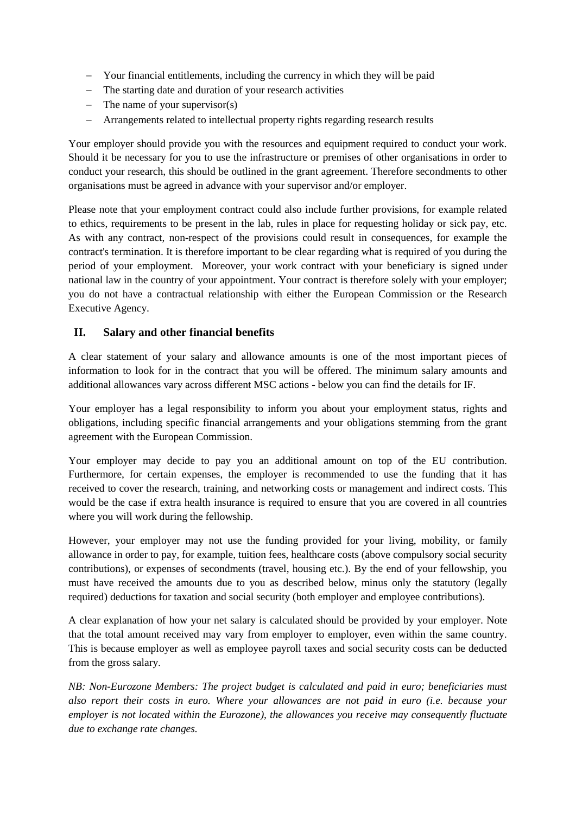- Your financial entitlements, including the currency in which they will be paid
- The starting date and duration of your research activities
- $-$  The name of your supervisor(s)
- Arrangements related to intellectual property rights regarding research results

Your employer should provide you with the resources and equipment required to conduct your work. Should it be necessary for you to use the infrastructure or premises of other organisations in order to conduct your research, this should be outlined in the grant agreement. Therefore secondments to other organisations must be agreed in advance with your supervisor and/or employer.

Please note that your employment contract could also include further provisions, for example related to ethics, requirements to be present in the lab, rules in place for requesting holiday or sick pay, etc. As with any contract, non-respect of the provisions could result in consequences, for example the contract's termination. It is therefore important to be clear regarding what is required of you during the period of your employment. Moreover, your work contract with your beneficiary is signed under national law in the country of your appointment. Your contract is therefore solely with your employer; you do not have a contractual relationship with either the European Commission or the Research Executive Agency.

#### **II. Salary and other financial benefits**

A clear statement of your salary and allowance amounts is one of the most important pieces of information to look for in the contract that you will be offered. The minimum salary amounts and additional allowances vary across different MSC actions - below you can find the details for IF.

Your employer has a legal responsibility to inform you about your employment status, rights and obligations, including specific financial arrangements and your obligations stemming from the grant agreement with the European Commission.

Your employer may decide to pay you an additional amount on top of the EU contribution. Furthermore, for certain expenses, the employer is recommended to use the funding that it has received to cover the research, training, and networking costs or management and indirect costs. This would be the case if extra health insurance is required to ensure that you are covered in all countries where you will work during the fellowship.

However, your employer may not use the funding provided for your living, mobility, or family allowance in order to pay, for example, tuition fees, healthcare costs (above compulsory social security contributions), or expenses of secondments (travel, housing etc.). By the end of your fellowship, you must have received the amounts due to you as described below, minus only the statutory (legally required) deductions for taxation and social security (both employer and employee contributions).

A clear explanation of how your net salary is calculated should be provided by your employer. Note that the total amount received may vary from employer to employer, even within the same country. This is because employer as well as employee payroll taxes and social security costs can be deducted from the gross salary.

*NB: Non-Eurozone Members: The project budget is calculated and paid in euro; beneficiaries must also report their costs in euro. Where your allowances are not paid in euro (i.e. because your employer is not located within the Eurozone), the allowances you receive may consequently fluctuate due to exchange rate changes.*